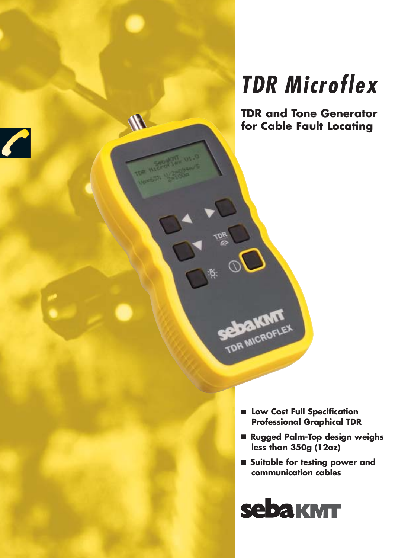# *TDR Microflex*

**TDR and Tone Generator for Cable Fault Locating**

**SV** 

 **Low Cost Full Specification Professional Graphical TDR**

**SEAD AVENTS** 

- **Rugged Palm-Top design weighs less than 350g (12oz)**
- **E** Suitable for testing power and **communication cables**